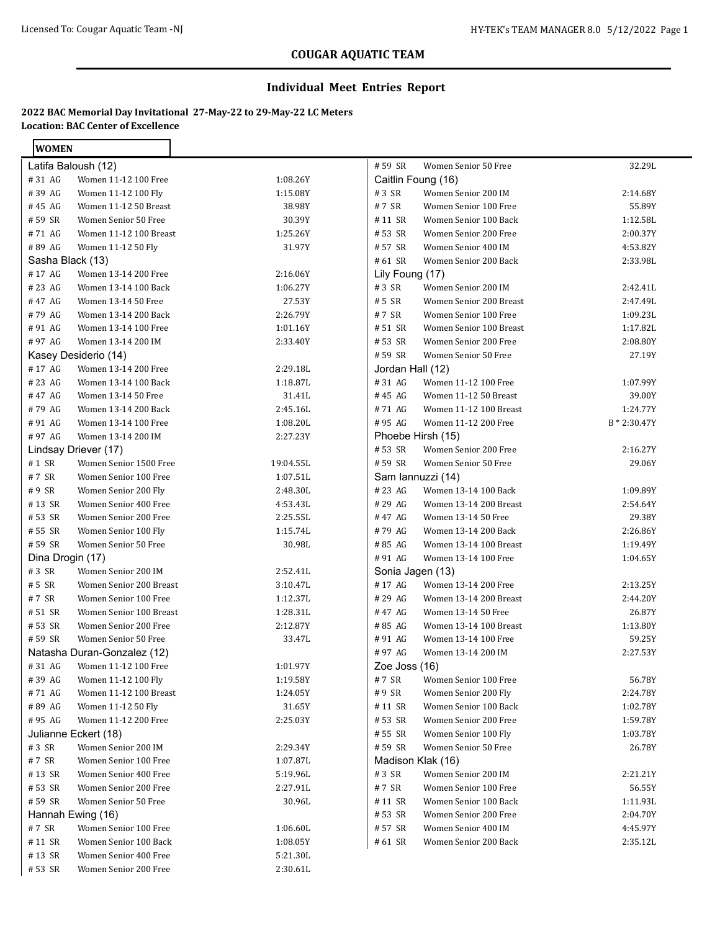#### **Individual Meet Entries Report**

### **2022 BAC Memorial Day Invitational 27-May-22 to 29-May-22 LC Meters Location: BAC Center of Excellence**

| <b>WOMEN</b>     |                             |           |                  |                         |              |
|------------------|-----------------------------|-----------|------------------|-------------------------|--------------|
|                  | Latifa Baloush (12)         |           | #59 SR           | Women Senior 50 Free    | 32.29L       |
| #31 AG           | Women 11-12 100 Free        | 1:08.26Y  |                  | Caitlin Foung (16)      |              |
| #39 AG           | Women 11-12 100 Fly         | 1:15.08Y  | #3 SR            | Women Senior 200 IM     | 2:14.68Y     |
| #45 AG           | Women 11-12 50 Breast       | 38.98Y    | #7 SR            | Women Senior 100 Free   | 55.89Y       |
| #59 SR           | Women Senior 50 Free        | 30.39Y    | #11 SR           | Women Senior 100 Back   | 1:12.58L     |
| #71 AG           | Women 11-12 100 Breast      | 1:25.26Y  | # 53 SR          | Women Senior 200 Free   | 2:00.37Y     |
| #89 AG           | Women 11-12 50 Fly          | 31.97Y    | # 57 SR          | Women Senior 400 IM     | 4:53.82Y     |
| Sasha Black (13) |                             |           | # 61 SR          | Women Senior 200 Back   | 2:33.98L     |
| #17 AG           | Women 13-14 200 Free        | 2:16.06Y  | Lily Foung (17)  |                         |              |
| #23 AG           | Women 13-14 100 Back        | 1:06.27Y  | #3 SR            | Women Senior 200 IM     | 2:42.41L     |
| #47 AG           | Women 13-14 50 Free         | 27.53Y    | # 5 SR           | Women Senior 200 Breast | 2:47.49L     |
| #79 AG           | Women 13-14 200 Back        | 2:26.79Y  | #7 SR            | Women Senior 100 Free   | 1:09.23L     |
| #91 AG           | Women 13-14 100 Free        | 1:01.16Y  | # 51 SR          | Women Senior 100 Breast | 1:17.82L     |
| #97 AG           | Women 13-14 200 IM          | 2:33.40Y  | #53 SR           | Women Senior 200 Free   | 2:08.80Y     |
|                  | Kasey Desiderio (14)        |           | #59 SR           | Women Senior 50 Free    | 27.19Y       |
| #17 AG           | Women 13-14 200 Free        | 2:29.18L  | Jordan Hall (12) |                         |              |
| #23 AG           | Women 13-14 100 Back        | 1:18.87L  | #31 AG           | Women 11-12 100 Free    | 1:07.99Y     |
| #47 AG           | Women 13-14 50 Free         | 31.41L    | #45 AG           | Women 11-12 50 Breast   | 39.00Y       |
| #79 AG           | Women 13-14 200 Back        | 2:45.16L  | #71 AG           | Women 11-12 100 Breast  | 1:24.77Y     |
| #91 AG           | Women 13-14 100 Free        | 1:08.20L  | #95 AG           | Women 11-12 200 Free    | B * 2:30.47Y |
| #97 AG           | Women 13-14 200 IM          | 2:27.23Y  |                  | Phoebe Hirsh (15)       |              |
|                  | Lindsay Driever (17)        |           | # 53 SR          | Women Senior 200 Free   | 2:16.27Y     |
| #1 SR            | Women Senior 1500 Free      | 19:04.55L | # 59 SR          | Women Senior 50 Free    | 29.06Y       |
| #7 SR            | Women Senior 100 Free       | 1:07.51L  |                  | Sam lannuzzi (14)       |              |
| #9 SR            | Women Senior 200 Fly        | 2:48.30L  | #23 AG           | Women 13-14 100 Back    | 1:09.89Y     |
| #13 SR           | Women Senior 400 Free       | 4:53.43L  | #29 AG           | Women 13-14 200 Breast  | 2:54.64Y     |
| #53 SR           | Women Senior 200 Free       | 2:25.55L  | #47 AG           | Women 13-14 50 Free     | 29.38Y       |
| # 55 SR          | Women Senior 100 Fly        | 1:15.74L  | #79 AG           | Women 13-14 200 Back    | 2:26.86Y     |
| #59 SR           | Women Senior 50 Free        | 30.98L    | #85 AG           | Women 13-14 100 Breast  | 1:19.49Y     |
| Dina Drogin (17) |                             |           | #91 AG           | Women 13-14 100 Free    | 1:04.65Y     |
| #3 SR            | Women Senior 200 IM         | 2:52.41L  | Sonia Jagen (13) |                         |              |
| # 5 SR           | Women Senior 200 Breast     | 3:10.47L  | #17 AG           | Women 13-14 200 Free    | 2:13.25Y     |
| #7 SR            | Women Senior 100 Free       | 1:12.37L  | #29 AG           | Women 13-14 200 Breast  | 2:44.20Y     |
| #51 SR           | Women Senior 100 Breast     | 1:28.31L  | #47 AG           | Women 13-14 50 Free     | 26.87Y       |
| # 53 SR          | Women Senior 200 Free       | 2:12.87Y  | #85 AG           | Women 13-14 100 Breast  | 1:13.80Y     |
| #59 SR           | Women Senior 50 Free        | 33.47L    | #91 AG           | Women 13-14 100 Free    | 59.25Y       |
|                  | Natasha Duran-Gonzalez (12) |           | #97 AG           | Women 13-14 200 IM      | 2:27.53Y     |
|                  | #31 AG Women 11-12 100 Free | 1:01.97Y  | Zoe Joss (16)    |                         |              |
| #39 AG           | Women 11-12 100 Fly         | 1:19.58Y  | #7 SR            | Women Senior 100 Free   | 56.78Y       |
| #71 AG           | Women 11-12 100 Breast      | 1:24.05Y  | #9 SR            | Women Senior 200 Fly    | 2:24.78Y     |
| #89 AG           | Women 11-12 50 Fly          | 31.65Y    | #11 SR           | Women Senior 100 Back   | 1:02.78Y     |
| #95 AG           | Women 11-12 200 Free        | 2:25.03Y  | # 53 SR          | Women Senior 200 Free   | 1:59.78Y     |
|                  | Julianne Eckert (18)        |           | # 55 SR          | Women Senior 100 Fly    | 1:03.78Y     |
| #3 SR            | Women Senior 200 IM         | 2:29.34Y  | # 59 SR          | Women Senior 50 Free    | 26.78Y       |
| #7 SR            | Women Senior 100 Free       | 1:07.87L  |                  | Madison Klak (16)       |              |
| #13 SR           | Women Senior 400 Free       | 5:19.96L  | # 3 SR           | Women Senior 200 IM     | 2:21.21Y     |
| #53 SR           | Women Senior 200 Free       | 2:27.91L  | #7 SR            | Women Senior 100 Free   | 56.55Y       |
| # 59 SR          | Women Senior 50 Free        | 30.96L    | #11 SR           | Women Senior 100 Back   | 1:11.93L     |
|                  | Hannah Ewing (16)           |           | # 53 SR          | Women Senior 200 Free   | 2:04.70Y     |
| #7 SR            | Women Senior 100 Free       | 1:06.60L  | # 57 SR          | Women Senior 400 IM     | 4:45.97Y     |
| #11 SR           | Women Senior 100 Back       | 1:08.05Y  | #61 SR           | Women Senior 200 Back   | 2:35.12L     |
| #13 SR           | Women Senior 400 Free       | 5:21.30L  |                  |                         |              |
| #53 SR           | Women Senior 200 Free       | 2:30.61L  |                  |                         |              |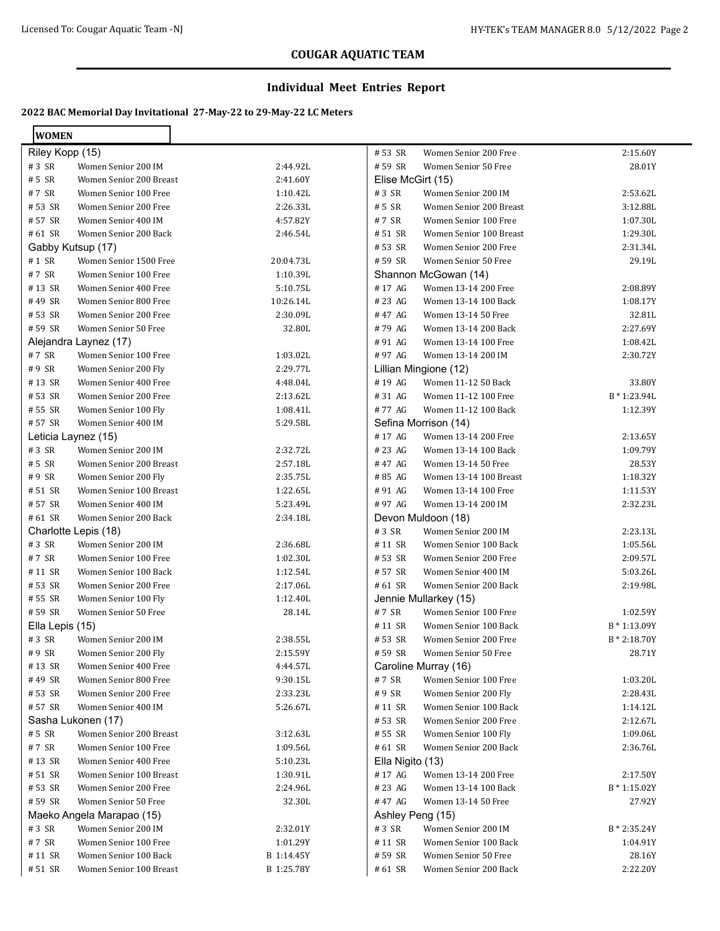#### **Individual Meet Entries Report**

| <b>WOMEN</b>    |                           |            |                   |                         |                |
|-----------------|---------------------------|------------|-------------------|-------------------------|----------------|
| Riley Kopp (15) |                           |            | #53 SR            | Women Senior 200 Free   | 2:15.60Y       |
| #3 SR           | Women Senior 200 IM       | 2:44.92L   | # 59 SR           | Women Senior 50 Free    | 28.01Y         |
| # 5 SR          | Women Senior 200 Breast   | 2:41.60Y   | Elise McGirt (15) |                         |                |
| #7 SR           | Women Senior 100 Free     | 1:10.42L   | #3 SR             | Women Senior 200 IM     | 2:53.62L       |
| # 53 SR         | Women Senior 200 Free     | 2:26.33L   | # 5 SR            | Women Senior 200 Breast | 3:12.88L       |
| # 57 SR         | Women Senior 400 IM       | 4:57.82Y   | #7 SR             | Women Senior 100 Free   | 1:07.30L       |
| # 61 SR         | Women Senior 200 Back     | 2:46.54L   | # 51 SR           | Women Senior 100 Breast | 1:29.30L       |
|                 | Gabby Kutsup (17)         |            | # 53 SR           | Women Senior 200 Free   | 2:31.34L       |
| #1 SR           | Women Senior 1500 Free    | 20:04.73L  | # 59 SR           | Women Senior 50 Free    | 29.19L         |
| #7 SR           | Women Senior 100 Free     | 1:10.39L   |                   | Shannon McGowan (14)    |                |
| #13 SR          | Women Senior 400 Free     | 5:10.75L   | #17 AG            | Women 13-14 200 Free    | 2:08.89Y       |
| #49 SR          | Women Senior 800 Free     | 10:26.14L  | #23 AG            | Women 13-14 100 Back    | 1:08.17Y       |
| #53 SR          | Women Senior 200 Free     | 2:30.09L   | #47 AG            | Women 13-14 50 Free     | 32.81L         |
| # 59 SR         | Women Senior 50 Free      | 32.80L     | #79 AG            | Women 13-14 200 Back    | 2:27.69Y       |
|                 | Alejandra Laynez (17)     |            | #91 AG            | Women 13-14 100 Free    | 1:08.42L       |
| #7 SR           | Women Senior 100 Free     | 1:03.02L   | #97 AG            | Women 13-14 200 IM      | 2:30.72Y       |
| #9 SR           | Women Senior 200 Fly      | 2:29.77L   |                   | Lillian Mingione (12)   |                |
| #13 SR          | Women Senior 400 Free     | 4:48.04L   | #19 AG            | Women 11-12 50 Back     | 33.80Y         |
| #53 SR          | Women Senior 200 Free     | 2:13.62L   | #31 AG            | Women 11-12 100 Free    | $B * 1:23.94L$ |
| #55 SR          | Women Senior 100 Fly      | 1:08.41L   | #77 AG            | Women 11-12 100 Back    | 1:12.39Y       |
| #57 SR          | Women Senior 400 IM       | 5:29.58L   |                   | Sefina Morrison (14)    |                |
|                 | Leticia Laynez (15)       |            | #17 AG            | Women 13-14 200 Free    | 2:13.65Y       |
| #3 SR           | Women Senior 200 IM       | 2:32.72L   | #23 AG            | Women 13-14 100 Back    | 1:09.79Y       |
| # 5 SR          | Women Senior 200 Breast   | 2:57.18L   | #47 AG            | Women 13-14 50 Free     | 28.53Y         |
| #9 SR           | Women Senior 200 Fly      | 2:35.75L   | #85 AG            | Women 13-14 100 Breast  | 1:18.32Y       |
| # 51 SR         | Women Senior 100 Breast   | 1:22.65L   | #91 AG            | Women 13-14 100 Free    | 1:11.53Y       |
| # 57 SR         | Women Senior 400 IM       | 5:23.49L   | #97 AG            | Women 13-14 200 IM      | 2:32.23L       |
| # 61 SR         | Women Senior 200 Back     | 2:34.18L   |                   | Devon Muldoon (18)      |                |
|                 | Charlotte Lepis (18)      |            | #3 SR             | Women Senior 200 IM     | 2:23.13L       |
| #3 SR           | Women Senior 200 IM       | 2:36.68L   | #11 SR            | Women Senior 100 Back   | 1:05.56L       |
| #7 SR           | Women Senior 100 Free     | 1:02.30L   | # 53 SR           | Women Senior 200 Free   | 2:09.57L       |
| #11 SR          | Women Senior 100 Back     | 1:12.54L   | # 57 SR           | Women Senior 400 IM     | 5:03.26L       |
| #53 SR          | Women Senior 200 Free     | 2:17.06L   | # 61 SR           | Women Senior 200 Back   | 2:19.98L       |
| # 55 SR         | Women Senior 100 Fly      | 1:12.40L   |                   | Jennie Mullarkey (15)   |                |
| #59 SR          | Women Senior 50 Free      | 28.14L     | # 7 SR            | Women Senior 100 Free   | 1:02.59Y       |
| Ella Lepis (15) |                           |            | #11 SR            | Women Senior 100 Back   | B * 1:13.09Y   |
| #3 SR           | Women Senior 200 IM       | 2:38.55L   | # 53 SR           | Women Senior 200 Free   | $B * 2:18.70Y$ |
| #9 SR           | Women Senior 200 Fly      | 2:15.59Y   | # 59 SR           | Women Senior 50 Free    | 28.71Y         |
| #13 SR          | Women Senior 400 Free     | 4:44.57L   |                   | Caroline Murray (16)    |                |
| #49 SR          | Women Senior 800 Free     | 9:30.15L   | $\#$ 7 $\,$ SR    | Women Senior 100 Free   | 1:03.20L       |
| # 53 SR         | Women Senior 200 Free     | 2:33.23L   | #9 SR             | Women Senior 200 Fly    | 2:28.43L       |
| # 57 SR         | Women Senior 400 IM       | 5:26.67L   | #11 SR            | Women Senior 100 Back   | 1:14.12L       |
|                 | Sasha Lukonen (17)        |            | #53 SR            | Women Senior 200 Free   | 2:12.67L       |
| # 5 SR          | Women Senior 200 Breast   | 3:12.63L   | # 55 SR           | Women Senior 100 Fly    | 1:09.06L       |
| #7 SR           | Women Senior 100 Free     | 1:09.56L   | # 61 SR           | Women Senior 200 Back   | 2:36.76L       |
| #13 SR          | Women Senior 400 Free     | 5:10.23L   | Ella Nigito (13)  |                         |                |
| # 51 SR         | Women Senior 100 Breast   | 1:30.91L   | #17 AG            | Women 13-14 200 Free    | 2:17.50Y       |
| #53 SR          | Women Senior 200 Free     | 2:24.96L   | #23 AG            | Women 13-14 100 Back    | $B * 1:15.02Y$ |
| #59 SR          | Women Senior 50 Free      | 32.30L     | #47 AG            | Women 13-14 50 Free     | 27.92Y         |
|                 | Maeko Angela Marapao (15) |            | Ashley Peng (15)  |                         |                |
| #3 SR           | Women Senior 200 IM       | 2:32.01Y   | #3 SR             | Women Senior 200 IM     | $B * 2:35.24Y$ |
| #7 SR           | Women Senior 100 Free     | 1:01.29Y   | #11 SR            | Women Senior 100 Back   | 1:04.91Y       |
| #11 SR          | Women Senior 100 Back     | B 1:14.45Y | # 59 SR           | Women Senior 50 Free    | 28.16Y         |
| # 51 SR         | Women Senior 100 Breast   | B 1:25.78Y | # 61 SR           | Women Senior 200 Back   | 2:22.20Y       |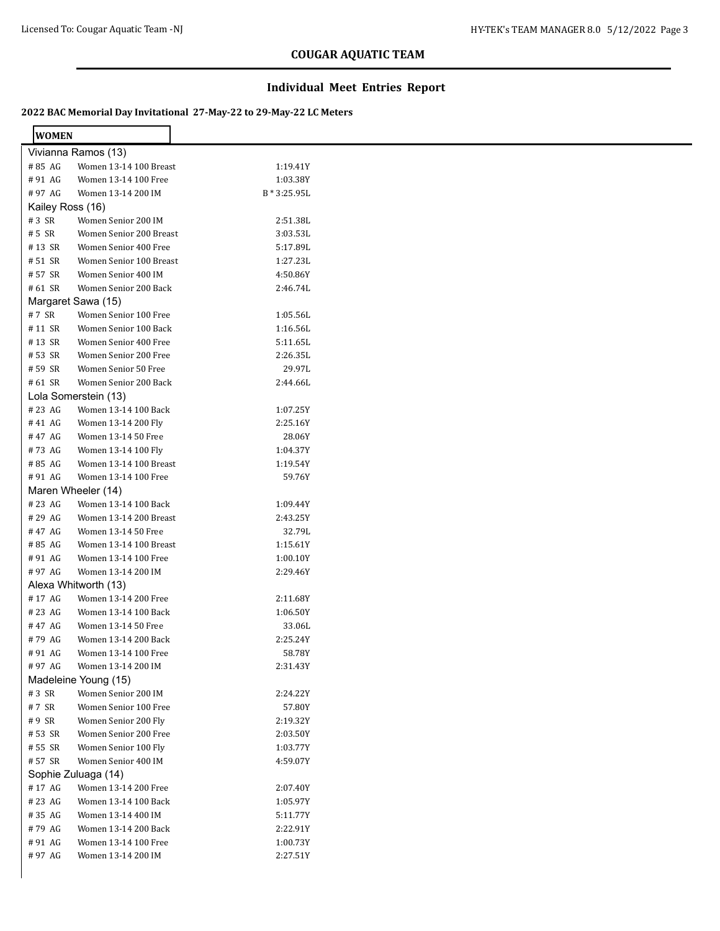#### **Individual Meet Entries Report**

| <b>WOMEN</b>     |                         |                |  |
|------------------|-------------------------|----------------|--|
|                  | Vivianna Ramos (13)     |                |  |
| #85 AG           | Women 13-14 100 Breast  | 1:19.41Y       |  |
| #91 AG           | Women 13-14 100 Free    | 1:03.38Y       |  |
| #97 AG           | Women 13-14 200 IM      | $B * 3:25.95L$ |  |
| Kailey Ross (16) |                         |                |  |
| #3 SR            | Women Senior 200 IM     | 2:51.38L       |  |
| # 5 SR           | Women Senior 200 Breast | 3:03.53L       |  |
| #13 SR           | Women Senior 400 Free   | 5:17.89L       |  |
| #51 SR           | Women Senior 100 Breast | 1:27.23L       |  |
| # 57 SR          | Women Senior 400 IM     | 4:50.86Y       |  |
| # 61 SR          | Women Senior 200 Back   | 2:46.74L       |  |
|                  | Margaret Sawa (15)      |                |  |
| #7 SR            | Women Senior 100 Free   | 1:05.56L       |  |
| #11 SR           | Women Senior 100 Back   | 1:16.56L       |  |
| #13 SR           | Women Senior 400 Free   | 5:11.65L       |  |
| #53 SR           | Women Senior 200 Free   | 2:26.35L       |  |
| #59 SR           | Women Senior 50 Free    | 29.97L         |  |
| # 61 SR          | Women Senior 200 Back   | 2:44.66L       |  |
|                  | Lola Somerstein (13)    |                |  |
| #23 AG           | Women 13-14 100 Back    | 1:07.25Y       |  |
| #41 AG           | Women 13-14 200 Fly     | 2:25.16Y       |  |
| #47 AG           | Women 13-14 50 Free     | 28.06Y         |  |
| #73 AG           | Women 13-14 100 Fly     | 1:04.37Y       |  |
| #85 AG           | Women 13-14 100 Breast  | 1:19.54Y       |  |
| #91 AG           | Women 13-14 100 Free    | 59.76Y         |  |
|                  | Maren Wheeler (14)      |                |  |
| #23 AG           | Women 13-14 100 Back    | 1:09.44Y       |  |
| #29 AG           | Women 13-14 200 Breast  | 2:43.25Y       |  |
| #47 AG           | Women 13-14 50 Free     | 32.79L         |  |
| #85 AG           | Women 13-14 100 Breast  | 1:15.61Y       |  |
| #91 AG           | Women 13-14 100 Free    | 1:00.10Y       |  |
| #97 AG           | Women 13-14 200 IM      | 2:29.46Y       |  |
|                  | Alexa Whitworth (13)    |                |  |
| #17 AG           | Women 13-14 200 Free    | 2:11.68Y       |  |
| # 23 AG          | Women 13-14 100 Back    | 1:06.50Y       |  |
| #47 AG           | Women 13-14 50 Free     | 33.06L         |  |
| #79 AG           | Women 13-14 200 Back    | 2:25.24Y       |  |
| #91 AG           | Women 13-14 100 Free    | 58.78Y         |  |
| #97 AG           | Women 13-14 200 IM      | 2:31.43Y       |  |
|                  | Madeleine Young (15)    |                |  |
| #3 SR            | Women Senior 200 IM     | 2:24.22Y       |  |
| #7 SR            | Women Senior 100 Free   | 57.80Y         |  |
| #9 SR            | Women Senior 200 Fly    | 2:19.32Y       |  |
| #53 SR           | Women Senior 200 Free   | 2:03.50Y       |  |
| # 55 SR          | Women Senior 100 Fly    | 1:03.77Y       |  |
| #57 SR           | Women Senior 400 IM     | 4:59.07Y       |  |
|                  | Sophie Zuluaga (14)     |                |  |
| #17 AG           | Women 13-14 200 Free    | 2:07.40Y       |  |
| #23 AG           | Women 13-14 100 Back    | 1:05.97Y       |  |
| #35 AG           | Women 13-14 400 IM      | 5:11.77Y       |  |
| #79 AG           | Women 13-14 200 Back    | 2:22.91Y       |  |
| #91 AG           | Women 13-14 100 Free    | 1:00.73Y       |  |
| #97 AG           | Women 13-14 200 IM      | 2:27.51Y       |  |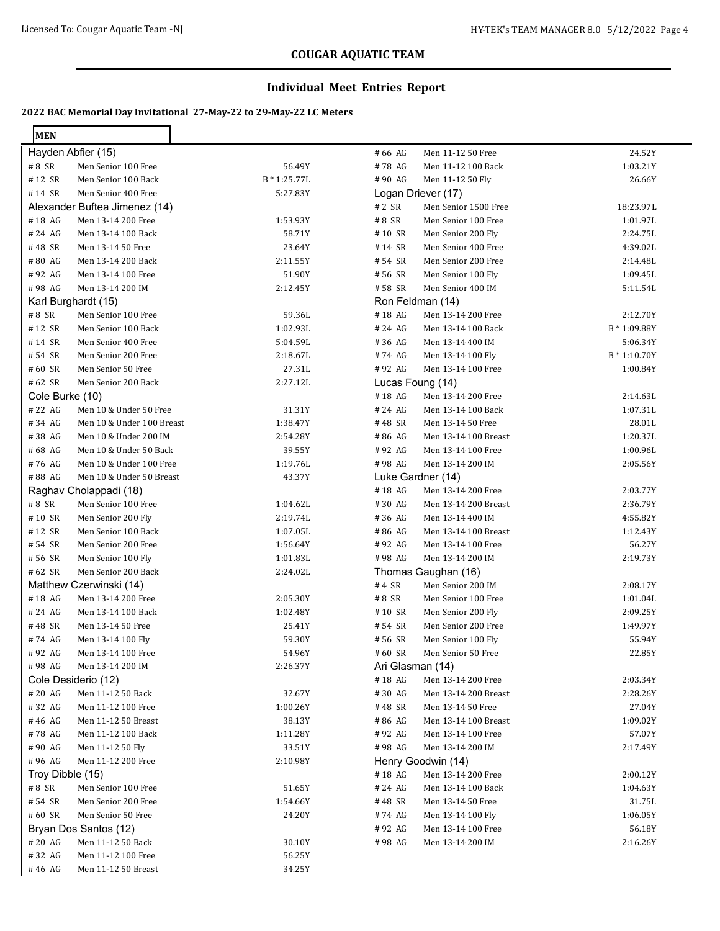#### **Individual Meet Entries Report**

#### **2022 BAC Memorial Day Invitational 27-May-22 to 29-May-22 LC Meters**

| <b>MEN</b>       |                                           |                      |                  |                                          |                      |
|------------------|-------------------------------------------|----------------------|------------------|------------------------------------------|----------------------|
|                  | Hayden Abfier (15)                        |                      | # 66 AG          | Men 11-12 50 Free                        | 24.52Y               |
| #8 SR            | Men Senior 100 Free                       | 56.49Y               | #78 AG           | Men 11-12 100 Back                       | 1:03.21Y             |
| #12 SR           | Men Senior 100 Back                       | $B * 1:25.77L$       | #90 AG           | Men 11-12 50 Fly                         | 26.66Y               |
| #14 SR           | Men Senior 400 Free                       | 5:27.83Y             |                  | Logan Driever (17)                       |                      |
|                  | Alexander Buftea Jimenez (14)             |                      | # 2 SR           | Men Senior 1500 Free                     | 18:23.97L            |
| #18 AG           | Men 13-14 200 Free                        | 1:53.93Y             | #8 SR            | Men Senior 100 Free                      | 1:01.97L             |
| #24 AG           | Men 13-14 100 Back                        | 58.71Y               | #10 SR           | Men Senior 200 Fly                       | 2:24.75L             |
| #48 SR           | Men 13-14 50 Free                         | 23.64Y               | #14 SR           | Men Senior 400 Free                      | 4:39.02L             |
| #80 AG           | Men 13-14 200 Back                        | 2:11.55Y             | # 54 SR          | Men Senior 200 Free                      | 2:14.48L             |
| #92 AG           | Men 13-14 100 Free                        | 51.90Y               | #56 SR           | Men Senior 100 Fly                       | 1:09.45L             |
| #98 AG           | Men 13-14 200 IM                          | 2:12.45Y             | #58 SR           | Men Senior 400 IM                        | 5:11.54L             |
|                  | Karl Burghardt (15)                       |                      |                  | Ron Feldman (14)                         |                      |
| #8 SR            | Men Senior 100 Free                       | 59.36L               | #18 AG           | Men 13-14 200 Free                       | 2:12.70Y             |
| #12 SR           | Men Senior 100 Back                       | 1:02.93L             | # 24 AG          | Men 13-14 100 Back                       | B * 1:09.88Y         |
| #14 SR           | Men Senior 400 Free                       | 5:04.59L             | #36 AG           | Men 13-14 400 IM                         | 5:06.34Y             |
| # 54 SR          | Men Senior 200 Free                       | 2:18.67L             | #74 AG           | Men 13-14 100 Fly                        | $B * 1:10.70Y$       |
| #60 SR           | Men Senior 50 Free                        | 27.31L               | #92 AG           | Men 13-14 100 Free                       | 1:00.84Y             |
| # 62 SR          | Men Senior 200 Back                       | 2:27.12L             |                  | Lucas Foung (14)                         |                      |
| Cole Burke (10)  |                                           |                      | #18 AG           | Men 13-14 200 Free                       | 2:14.63L             |
| # 22 AG          | Men 10 & Under 50 Free                    | 31.31Y               | # 24 AG          | Men 13-14 100 Back                       | 1:07.31L             |
| #34 AG           | Men 10 & Under 100 Breast                 | 1:38.47Y             | #48 SR           | Men 13-14 50 Free                        | 28.01L               |
| #38 AG           | Men 10 & Under 200 IM                     | 2:54.28Y             | #86 AG           | Men 13-14 100 Breast                     | 1:20.37L             |
| #68 AG           | Men 10 & Under 50 Back                    | 39.55Y               | #92 AG           | Men 13-14 100 Free                       | 1:00.96L             |
| #76 AG           | Men 10 & Under 100 Free                   | 1:19.76L             | #98 AG           | Men 13-14 200 IM                         | 2:05.56Y             |
| #88 AG           | Men 10 & Under 50 Breast                  | 43.37Y               |                  | Luke Gardner (14)                        |                      |
|                  | Raghav Cholappadi (18)                    |                      | #18 AG           | Men 13-14 200 Free                       | 2:03.77Y             |
| #8 SR            | Men Senior 100 Free                       | 1:04.62L             | #30 AG           | Men 13-14 200 Breast                     | 2:36.79Y             |
| #10 SR<br>#12 SR | Men Senior 200 Fly<br>Men Senior 100 Back | 2:19.74L<br>1:07.05L | #36 AG<br>#86 AG | Men 13-14 400 IM<br>Men 13-14 100 Breast | 4:55.82Y<br>1:12.43Y |
| # 54 SR          | Men Senior 200 Free                       | 1:56.64Y             | #92 AG           | Men 13-14 100 Free                       | 56.27Y               |
| #56 SR           | Men Senior 100 Fly                        | 1:01.83L             | #98 AG           | Men 13-14 200 IM                         | 2:19.73Y             |
| #62 SR           | Men Senior 200 Back                       | 2:24.02L             |                  | Thomas Gaughan (16)                      |                      |
|                  | Matthew Czerwinski (14)                   |                      | #4 SR            | Men Senior 200 IM                        | 2:08.17Y             |
| #18 AG           | Men 13-14 200 Free                        | 2:05.30Y             | #8 SR            | Men Senior 100 Free                      | 1:01.04L             |
| #24 AG           | Men 13-14 100 Back                        | 1:02.48Y             | #10 SR           | Men Senior 200 Fly                       | 2:09.25Y             |
| #48 SR           | Men 13-14 50 Free                         | 25.41Y               | # 54 SR          | Men Senior 200 Free                      | 1:49.97Y             |
| #74 AG           | Men 13-14 100 Fly                         | 59.30Y               | # 56 SR          | Men Senior 100 Fly                       | 55.94Y               |
| #92 AG           | Men 13-14 100 Free                        | 54.96Y               | #60 SR           | Men Senior 50 Free                       | 22.85Y               |
| #98 AG           | Men 13-14 200 IM                          | 2:26.37Y             | Ari Glasman (14) |                                          |                      |
|                  | Cole Desiderio (12)                       |                      | #18 AG           | Men 13-14 200 Free                       | 2:03.34Y             |
| #20 AG           | Men 11-12 50 Back                         | 32.67Y               | #30 AG           | Men 13-14 200 Breast                     | 2:28.26Y             |
| #32 AG           | Men 11-12 100 Free                        | 1:00.26Y             | #48 SR           | Men 13-14 50 Free                        | 27.04Y               |
| #46 AG           | Men 11-12 50 Breast                       | 38.13Y               | #86 AG           | Men 13-14 100 Breast                     | 1:09.02Y             |
| #78 AG           | Men 11-12 100 Back                        | 1:11.28Y             | #92 AG           | Men 13-14 100 Free                       | 57.07Y               |
| #90 AG           | Men 11-12 50 Fly                          | 33.51Y               | #98 AG           | Men 13-14 200 IM                         | 2:17.49Y             |
| #96 AG           | Men 11-12 200 Free                        | 2:10.98Y             |                  | Henry Goodwin (14)                       |                      |
| Troy Dibble (15) |                                           |                      | #18 AG           | Men 13-14 200 Free                       | 2:00.12Y             |
| #8 SR            | Men Senior 100 Free                       | 51.65Y               | # 24 AG          | Men 13-14 100 Back                       | 1:04.63Y             |
| #54 SR           | Men Senior 200 Free                       | 1:54.66Y             | #48 SR           | Men 13-14 50 Free                        | 31.75L               |
| #60 SR           | Men Senior 50 Free                        | 24.20Y               | #74 AG           | Men 13-14 100 Fly                        | 1:06.05Y             |
|                  | Bryan Dos Santos (12)                     |                      | #92 AG           | Men 13-14 100 Free                       | 56.18Y               |
| #20 AG           | Men 11-12 50 Back                         | 30.10Y               | #98 AG           | Men 13-14 200 IM                         | 2:16.26Y             |
| #32 AG           | Men 11-12 100 Free                        | 56.25Y               |                  |                                          |                      |
| #46 AG           | Men 11-12 50 Breast                       | 34.25Y               |                  |                                          |                      |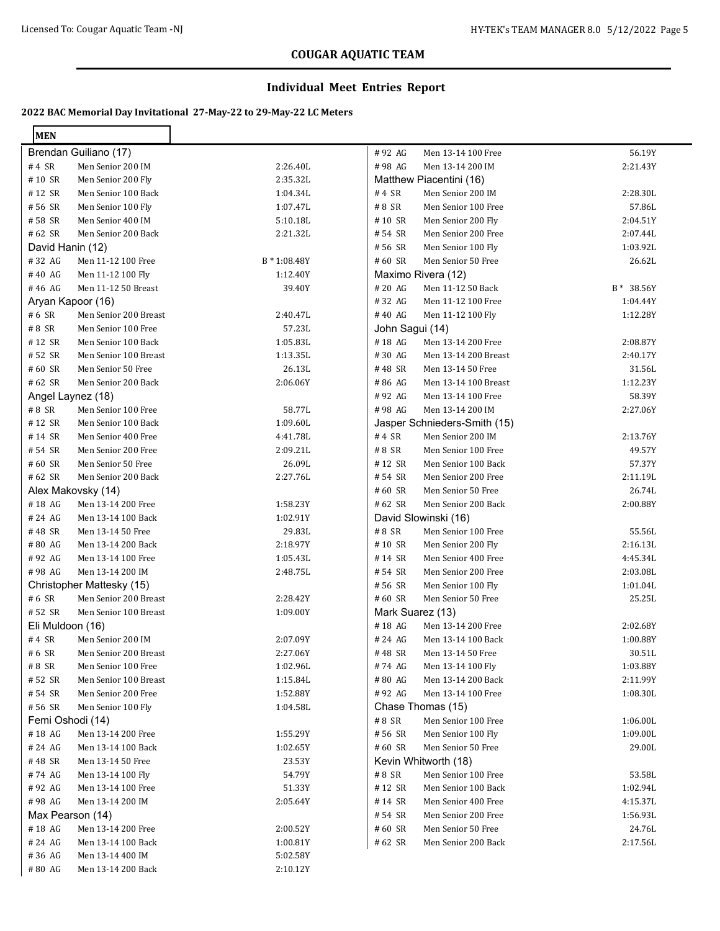#### **Individual Meet Entries Report**

| <b>MEN</b>       |                           |              |                  |                              |            |
|------------------|---------------------------|--------------|------------------|------------------------------|------------|
|                  | Brendan Guiliano (17)     |              | #92 AG           | Men 13-14 100 Free           | 56.19Y     |
| #4 SR            | Men Senior 200 IM         | 2:26.40L     | #98 AG           | Men 13-14 200 IM             | 2:21.43Y   |
| #10 SR           | Men Senior 200 Fly        | 2:35.32L     |                  | Matthew Piacentini (16)      |            |
| #12 SR           | Men Senior 100 Back       | 1:04.34L     | #4 SR            | Men Senior 200 IM            | 2:28.30L   |
| #56 SR           | Men Senior 100 Fly        | 1:07.47L     | #8 SR            | Men Senior 100 Free          | 57.86L     |
| #58 SR           | Men Senior 400 IM         | 5:10.18L     | #10 SR           | Men Senior 200 Fly           | 2:04.51Y   |
| #62 SR           | Men Senior 200 Back       | 2:21.32L     | # 54 SR          | Men Senior 200 Free          | 2:07.44L   |
| David Hanin (12) |                           |              | #56 SR           | Men Senior 100 Fly           | 1:03.92L   |
| #32 AG           | Men 11-12 100 Free        | B * 1:08.48Y | #60 SR           | Men Senior 50 Free           | 26.62L     |
| #40 AG           | Men 11-12 100 Fly         | 1:12.40Y     |                  | Maximo Rivera (12)           |            |
| #46 AG           | Men 11-12 50 Breast       | 39.40Y       | #20AG            | Men 11-12 50 Back            | B * 38.56Y |
|                  | Aryan Kapoor (16)         |              | #32 AG           | Men 11-12 100 Free           | 1:04.44Y   |
| # 6 SR           | Men Senior 200 Breast     | 2:40.47L     | #40 AG           | Men 11-12 100 Fly            | 1:12.28Y   |
| #8 SR            | Men Senior 100 Free       | 57.23L       | John Sagui (14)  |                              |            |
| #12 SR           | Men Senior 100 Back       | 1:05.83L     | #18 AG           | Men 13-14 200 Free           | 2:08.87Y   |
| #52 SR           | Men Senior 100 Breast     | 1:13.35L     | #30 AG           | Men 13-14 200 Breast         | 2:40.17Y   |
| #60 SR           | Men Senior 50 Free        | 26.13L       | #48 SR           | Men 13-14 50 Free            | 31.56L     |
| #62 SR           | Men Senior 200 Back       | 2:06.06Y     | #86 AG           | Men 13-14 100 Breast         | 1:12.23Y   |
|                  | Angel Laynez (18)         |              | #92 AG           | Men 13-14 100 Free           | 58.39Y     |
| #8 SR            | Men Senior 100 Free       | 58.77L       | #98 AG           | Men 13-14 200 IM             | 2:27.06Y   |
| #12 SR           | Men Senior 100 Back       | 1:09.60L     |                  | Jasper Schnieders-Smith (15) |            |
| #14 SR           | Men Senior 400 Free       | 4:41.78L     | #4 SR            | Men Senior 200 IM            | 2:13.76Y   |
| # 54 SR          | Men Senior 200 Free       | 2:09.21L     | #8 SR            | Men Senior 100 Free          | 49.57Y     |
| $\#$ 60 SR       | Men Senior 50 Free        | 26.09L       | #12 SR           | Men Senior 100 Back          | 57.37Y     |
| # 62 SR          | Men Senior 200 Back       | 2:27.76L     | # 54 SR          | Men Senior 200 Free          | 2:11.19L   |
|                  | Alex Makovsky (14)        |              | #60 SR           | Men Senior 50 Free           | 26.74L     |
| #18 AG           | Men 13-14 200 Free        | 1:58.23Y     | #62 SR           | Men Senior 200 Back          | 2:00.88Y   |
| # 24 AG          | Men 13-14 100 Back        | 1:02.91Y     |                  | David Slowinski (16)         |            |
| #48 SR           | Men 13-14 50 Free         | 29.83L       | #8 SR            | Men Senior 100 Free          | 55.56L     |
| #80 AG           | Men 13-14 200 Back        | 2:18.97Y     | #10 SR           | Men Senior 200 Fly           | 2:16.13L   |
| #92 AG           | Men 13-14 100 Free        | 1:05.43L     | #14 SR           | Men Senior 400 Free          | 4:45.34L   |
| #98 AG           | Men 13-14 200 IM          | 2:48.75L     | # 54 SR          | Men Senior 200 Free          | 2:03.08L   |
|                  | Christopher Mattesky (15) |              | # 56 SR          | Men Senior 100 Fly           | 1:01.04L   |
| # 6 SR           | Men Senior 200 Breast     | 2:28.42Y     | #60 SR           | Men Senior 50 Free           | 25.25L     |
| #52 SR           | Men Senior 100 Breast     | 1:09.00Y     | Mark Suarez (13) |                              |            |
| Eli Muldoon (16) |                           |              | #18 AG           | Men 13-14 200 Free           | 2:02.68Y   |
| #4 SR            | Men Senior 200 IM         | 2:07.09Y     | # 24 AG          | Men 13-14 100 Back           | 1:00.88Y   |
| # 6 SR           | Men Senior 200 Breast     | 2:27.06Y     | #48 SR           | Men 13-14 50 Free            | 30.51L     |
| # 8 SR           | Men Senior 100 Free       | 1:02.96L     | #74 AG           | Men 13-14 100 Fly            | 1:03.88Y   |
| #52 SR           | Men Senior 100 Breast     | 1:15.84L     | #80 AG           | Men 13-14 200 Back           | 2:11.99Y   |
| # 54 SR          | Men Senior 200 Free       | 1:52.88Y     | #92 AG           | Men 13-14 100 Free           | 1:08.30L   |
| #56 SR           | Men Senior 100 Fly        | 1:04.58L     |                  | Chase Thomas (15)            |            |
|                  | Femi Oshodi (14)          |              | # 8 SR           | Men Senior 100 Free          | 1:06.00L   |
| #18 AG           | Men 13-14 200 Free        | 1:55.29Y     | # 56 SR          | Men Senior 100 Fly           | 1:09.00L   |
| #24 AG           | Men 13-14 100 Back        | 1:02.65Y     | #60 SR           | Men Senior 50 Free           | 29.00L     |
| #48 SR           | Men 13-14 50 Free         | 23.53Y       |                  | Kevin Whitworth (18)         |            |
| #74 AG           | Men 13-14 100 Fly         | 54.79Y       | # 8 SR           | Men Senior 100 Free          | 53.58L     |
| #92 AG           | Men 13-14 100 Free        | 51.33Y       | #12 SR           | Men Senior 100 Back          | 1:02.94L   |
| #98 AG           | Men 13-14 200 IM          | 2:05.64Y     | #14 SR           | Men Senior 400 Free          | 4:15.37L   |
|                  | Max Pearson (14)          |              | #54 SR           | Men Senior 200 Free          | 1:56.93L   |
| #18 AG           | Men 13-14 200 Free        | 2:00.52Y     | #60 SR           | Men Senior 50 Free           | 24.76L     |
| #24 AG           | Men 13-14 100 Back        | 1:00.81Y     | # 62 SR          | Men Senior 200 Back          | 2:17.56L   |
| #36 AG           | Men 13-14 400 IM          | 5:02.58Y     |                  |                              |            |
| #80 AG           | Men 13-14 200 Back        | 2:10.12Y     |                  |                              |            |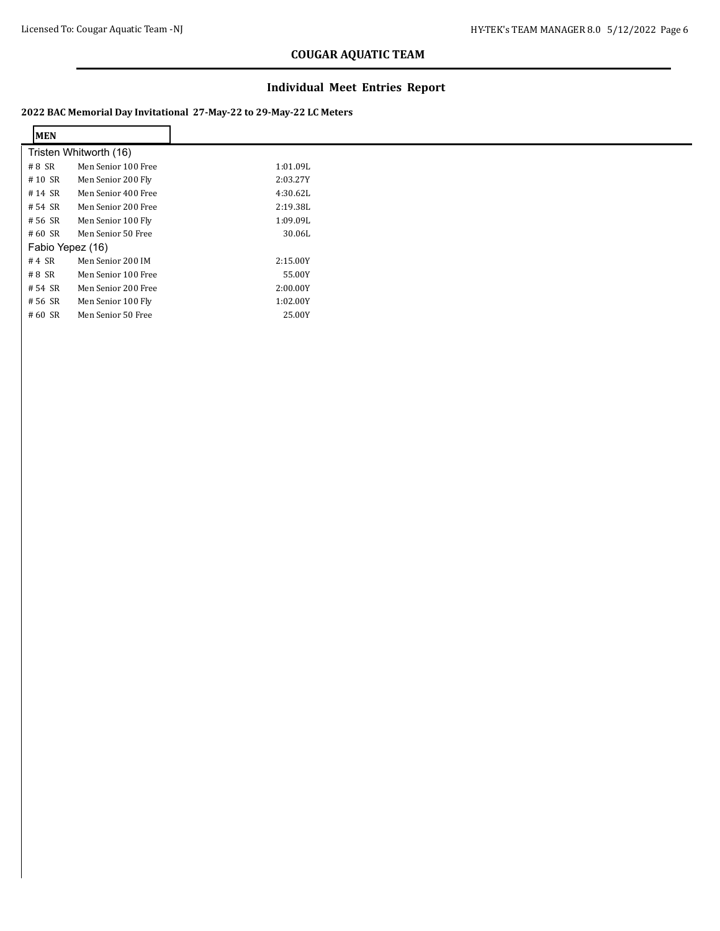$\mathbf{r}$ 

# **COUGAR AQUATIC TEAM**

#### **Individual Meet Entries Report**

| <b>MEN</b>       |                        |          |
|------------------|------------------------|----------|
|                  | Tristen Whitworth (16) |          |
| #8 SR            | Men Senior 100 Free    | 1:01.09L |
| #10 SR           | Men Senior 200 Fly     | 2:03.27Y |
| #14 SR           | Men Senior 400 Free    | 4:30.62L |
| # 54 SR          | Men Senior 200 Free    | 2:19.38L |
| # 56 SR          | Men Senior 100 Fly     | 1:09.09L |
| #60 SR           | Men Senior 50 Free     | 30.06L   |
| Fabio Yepez (16) |                        |          |
| $#4$ SR          | Men Senior 200 IM      | 2:15.00Y |
| #8 SR            | Men Senior 100 Free    | 55.00Y   |
| # 54 SR          | Men Senior 200 Free    | 2:00.00Y |
| # 56 SR          | Men Senior 100 Fly     | 1:02.00Y |
| #60 SR           | Men Senior 50 Free     | 25.00Y   |